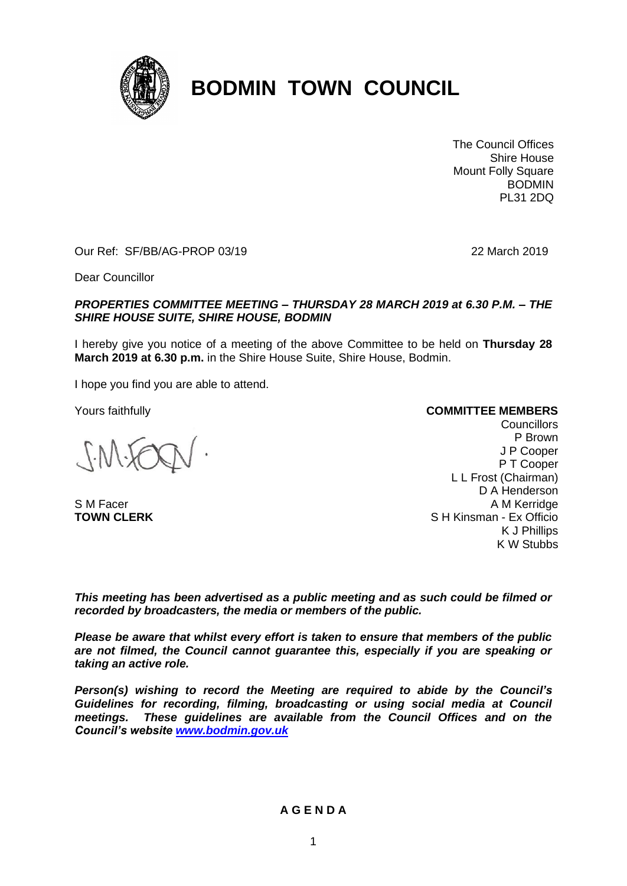

# **BODMIN TOWN COUNCIL**

The Council Offices Shire House Mount Folly Square BODMIN PL31 2DQ

Our Ref: SF/BB/AG-PROP 03/19 22 March 2019

Dear Councillor

#### *PROPERTIES COMMITTEE MEETING – THURSDAY 28 MARCH 2019 at 6.30 P.M. – THE SHIRE HOUSE SUITE, SHIRE HOUSE, BODMIN*

I hereby give you notice of a meeting of the above Committee to be held on **Thursday 28 March 2019 at 6.30 p.m.** in the Shire House Suite, Shire House, Bodmin.

I hope you find you are able to attend.

Yours faithfully

S M Facer **TOWN CLERK**

#### **COMMITTEE MEMBERS**

**Councillors** P Brown J P Cooper P T Cooper L L Frost (Chairman) D A Henderson A M Kerridge S H Kinsman - Ex Officio K J Phillips K W Stubbs

*This meeting has been advertised as a public meeting and as such could be filmed or recorded by broadcasters, the media or members of the public.*

*Please be aware that whilst every effort is taken to ensure that members of the public are not filmed, the Council cannot guarantee this, especially if you are speaking or taking an active role.*

*Person(s) wishing to record the Meeting are required to abide by the Council's Guidelines for recording, filming, broadcasting or using social media at Council meetings. These guidelines are available from the Council Offices and on the Council's website [www.bodmin.gov.uk](http://www.bodmin.gov.uk/)*

## **A G E N D A**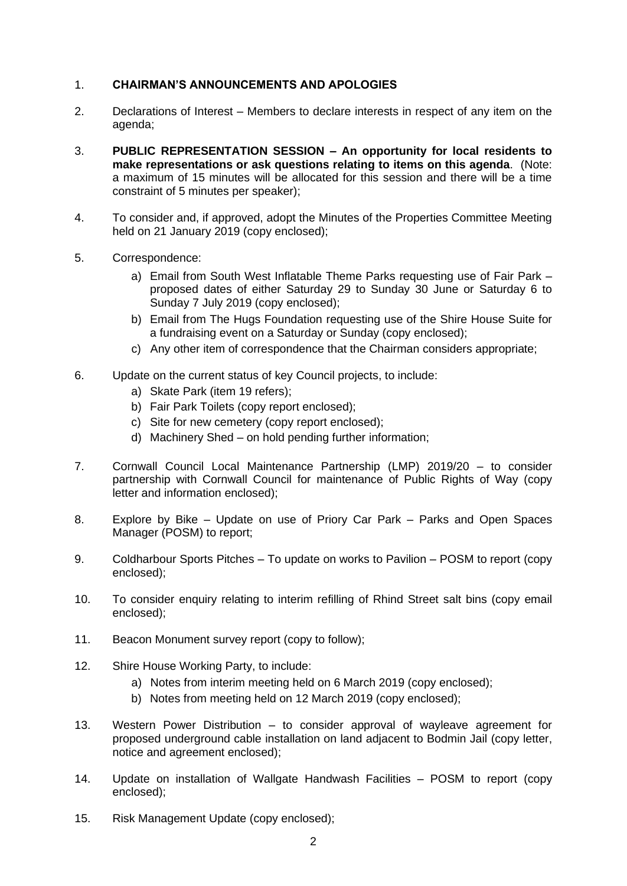## 1. **CHAIRMAN'S ANNOUNCEMENTS AND APOLOGIES**

- 2. Declarations of Interest Members to declare interests in respect of any item on the agenda;
- 3. **PUBLIC REPRESENTATION SESSION – An opportunity for local residents to make representations or ask questions relating to items on this agenda**. (Note: a maximum of 15 minutes will be allocated for this session and there will be a time constraint of 5 minutes per speaker);
- 4. To consider and, if approved, adopt the Minutes of the Properties Committee Meeting held on 21 January 2019 (copy enclosed);
- 5. Correspondence:
	- a) Email from South West Inflatable Theme Parks requesting use of Fair Park proposed dates of either Saturday 29 to Sunday 30 June or Saturday 6 to Sunday 7 July 2019 (copy enclosed);
	- b) Email from The Hugs Foundation requesting use of the Shire House Suite for a fundraising event on a Saturday or Sunday (copy enclosed);
	- c) Any other item of correspondence that the Chairman considers appropriate;
- 6. Update on the current status of key Council projects, to include:
	- a) Skate Park (item 19 refers);
	- b) Fair Park Toilets (copy report enclosed);
	- c) Site for new cemetery (copy report enclosed);
	- d) Machinery Shed on hold pending further information;
- 7. Cornwall Council Local Maintenance Partnership (LMP) 2019/20 to consider partnership with Cornwall Council for maintenance of Public Rights of Way (copy letter and information enclosed);
- 8. Explore by Bike Update on use of Priory Car Park Parks and Open Spaces Manager (POSM) to report;
- 9. Coldharbour Sports Pitches To update on works to Pavilion POSM to report (copy enclosed);
- 10. To consider enquiry relating to interim refilling of Rhind Street salt bins (copy email enclosed);
- 11. Beacon Monument survey report (copy to follow);
- 12. Shire House Working Party, to include:
	- a) Notes from interim meeting held on 6 March 2019 (copy enclosed);
	- b) Notes from meeting held on 12 March 2019 (copy enclosed);
- 13. Western Power Distribution to consider approval of wayleave agreement for proposed underground cable installation on land adjacent to Bodmin Jail (copy letter, notice and agreement enclosed);
- 14. Update on installation of Wallgate Handwash Facilities POSM to report (copy enclosed);
- 15. Risk Management Update (copy enclosed);